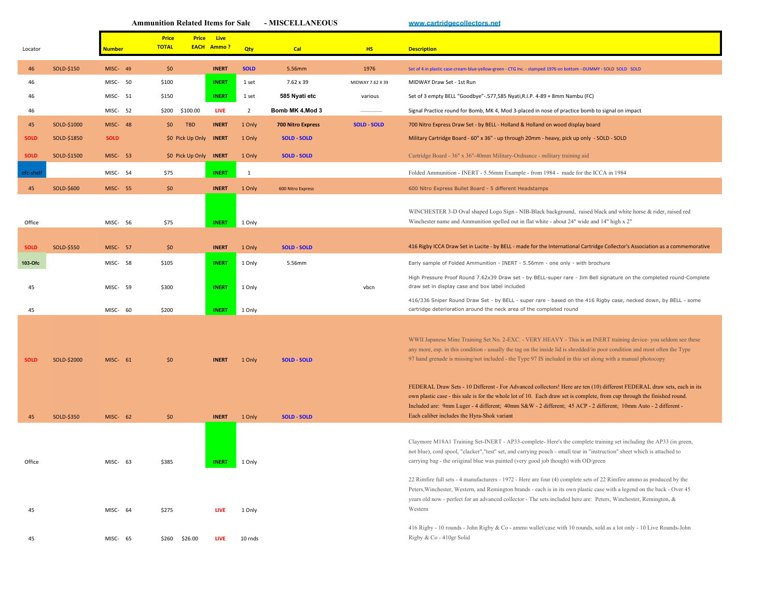|             |             |                 |    | <b>Ammunition Related Items for Sale</b>     |                                  |                | - MISCELLANEOUS          |                    | www.cartridgecollectors.net                                                                                                                                                                                                                                                                                                                                                                                                                                  |
|-------------|-------------|-----------------|----|----------------------------------------------|----------------------------------|----------------|--------------------------|--------------------|--------------------------------------------------------------------------------------------------------------------------------------------------------------------------------------------------------------------------------------------------------------------------------------------------------------------------------------------------------------------------------------------------------------------------------------------------------------|
| Locator     |             | <b>Number</b>   |    | <b>Price</b><br><b>Price</b><br><b>TOTAL</b> | <b>Live</b><br><b>EACH Ammo?</b> | Qty            | Cal                      | <b>HS</b>          | <b>Description</b>                                                                                                                                                                                                                                                                                                                                                                                                                                           |
| 46          | SOLD-\$150  | MISC- 49        |    | \$0                                          | <b>INERT</b>                     | <b>SOLD</b>    | 5.56mm                   | 1976               | Set of 4 in plastic case-cream-blue-yellow-green - CTG Inc. - stamped 1976 on bottom -- DUMMY - SOLD SOLD SOLD                                                                                                                                                                                                                                                                                                                                               |
| 46          |             | MISC- 50        |    | \$100                                        | <b>INERT</b>                     | 1 set          | $7.62 \times 39$         | MIDWAY 7.62 X 39   | MIDWAY Draw Set - 1st Run                                                                                                                                                                                                                                                                                                                                                                                                                                    |
| 46          |             | MISC- 51        |    | \$150                                        | <b>INERT</b>                     | 1 set          | 585 Nyati etc            | various            | Set of 3 empty BELL "Goodbye"-.577,585 Nyati, R.I.P. 4-89 + 8mm Nambu (FC)                                                                                                                                                                                                                                                                                                                                                                                   |
| 46          |             | MISC- 52        |    | \$200 \$100.00                               | <b>LIVE</b>                      | $\overline{2}$ | Bomb MK 4, Mod 3         |                    | Signal Practice round for Bomb, MK 4, Mod 3-placed in nose of practice bomb to signal on impact                                                                                                                                                                                                                                                                                                                                                              |
| 45          | SOLD-\$1000 | MISC- 48        |    | <b>TBD</b><br>\$0                            | <b>INERT</b>                     | 1 Only         | <b>700 Nitro Express</b> | <b>SOLD - SOLD</b> | 700 Nitro Express Draw Set - by BELL - Holland & Holland on wood display board                                                                                                                                                                                                                                                                                                                                                                               |
| <b>SOLD</b> | SOLD-\$1850 | <b>SOLD</b>     |    | \$0 Pick Up Only                             | <b>INERT</b>                     | 1 Only         | <b>SOLD - SOLD</b>       |                    | Military Cartridge Board - 60" x 36" - up through 20mm - heavy, pick up only - SOLD - SOLD                                                                                                                                                                                                                                                                                                                                                                   |
| <b>SOLD</b> | SOLD-\$1500 | MISC- 53        |    | \$0 Pick Up Only                             | <b>INERT</b>                     | 1 Only         | <b>SOLD - SOLD</b>       |                    | Cartridge Board - 36" x 36"-40mm Military-Ordnance - military training aid                                                                                                                                                                                                                                                                                                                                                                                   |
| ofc-shelt   |             | MISC- 54        |    | \$75                                         | <b>INERT</b>                     | 1              |                          |                    | Folded Ammunition - INERT - 5.56mm Example - from 1984 - made for the ICCA in 1984                                                                                                                                                                                                                                                                                                                                                                           |
| 45          | SOLD-\$600  | <b>MISC- 55</b> |    | \$0                                          | <b>INERT</b>                     | 1 Only         | 600 Nitro Express        |                    | 600 Nitro Express Bullet Board - 5 different Headstamps                                                                                                                                                                                                                                                                                                                                                                                                      |
| Office      |             | MISC- 56        |    | \$75                                         | <b>INERT</b>                     | 1 Only         |                          |                    | WINCHESTER 3-D Oval shaped Logo Sign - NIB-Black background, raised black and white horse & rider, raised red<br>Winchester name and Ammunition spelled out in flat white - about 24" wide and 14" high x 2"                                                                                                                                                                                                                                                 |
| <b>SOLD</b> | SOLD-\$550  | MISC- 57        |    | \$0                                          | <b>INERT</b>                     | 1 Only         | <b>SOLD - SOLD</b>       |                    | 416 Rigby ICCA Draw Set in Lucite - by BELL - made for the International Cartridge Collector's Association as a commemorative                                                                                                                                                                                                                                                                                                                                |
| 103-Ofc     |             | MISC- 58        |    | \$105                                        | <b>INERT</b>                     | 1 Only         | 5.56mm                   |                    | Early sample of Folded Ammunition - INERT - 5.56mm - one only - with brochure                                                                                                                                                                                                                                                                                                                                                                                |
|             |             |                 |    |                                              |                                  |                |                          |                    | High Pressure Proof Round 7.62x39 Draw set - by BELL-super rare - Jim Bell signature on the completed round-Complete                                                                                                                                                                                                                                                                                                                                         |
| 45          |             | MISC- 59        |    | \$300                                        | <b>INERT</b>                     | 1 Only         |                          | vbcn               | draw set in display case and box label included                                                                                                                                                                                                                                                                                                                                                                                                              |
| 45          |             | MISC- 60        |    | \$200                                        | <b>INERT</b>                     | 1 Only         |                          |                    | 416/336 Sniper Round Draw Set - by BELL - super rare - based on the 416 Rigby case, necked down, by BELL - some<br>cartridge deterioration around the neck area of the completed round                                                                                                                                                                                                                                                                       |
| SOLD        | SOLD-\$2000 | MISC- 61        |    | \$0                                          | <b>INERT</b>                     | 1 Only         | <b>SOLD - SOLD</b>       |                    | WWII Japanese Mine Training Set No. 2-EXC. - VERY HEAVY - This is an INERT training device- you seldom see these<br>any more, esp. in this condition - usually the tag on the inside lid is shredded/in poor condition and most often the Type<br>97 hand grenade is missing/not included - the Type 97 IS included in this set along with a manual photocopy                                                                                                |
| 45          | SOLD-\$350  | MISC- 62        |    | \$0                                          | <b>INERT</b>                     | 1 Only         | <b>SOLD - SOLD</b>       |                    | FEDERAL Draw Sets - 10 Different - For Advanced collectors! Here are ten (10) different FEDERAL draw sets, each in its<br>own plastic case - this sale is for the whole lot of 10. Each draw set is complete, from cup through the finished round.<br>Included are: 9mm Luger - 4 different; 40mm S&W - 2 different; 45 ACP - 2 different; 10mm Auto - 2 different -<br>Each caliber includes the Hyra-Shok variant                                          |
| Office      |             | MISC-           | 63 | \$385                                        | <b>INERT</b>                     | 1 Only         |                          |                    | Claymore M18A1 Training Set-INERT - AP33-complete- Here's the complete training set including the AP33 (in green,<br>not blue), cord spool, "clacker","test" set, and carrying pouch - small tear in "instruction" sheet which is attached to<br>carrying bag - the oriiginal blue was painted (very good job though) with OD/green<br>22 Rimfire full sets - 4 manufacturers - 1972 - Here are four (4) complete sets of 22 Rimfire ammo as produced by the |
| 45          |             | MISC- 64        |    | \$275                                        | <b>LIVE</b>                      | 1 Only         |                          |                    | Peters, Winchester, Western, and Remington brands - each is in its own plastic case with a legend on the back - Over 45<br>years old now - perfect for an advanced collector - The sets included here are: Peters, Winchester, Remington, &<br>Western                                                                                                                                                                                                       |
| 45          |             | MISC- 65        |    | $$260$ $$26.00$                              | <b>LIVE</b>                      | 10 rnds        |                          |                    | 416 Rigby - 10 rounds - John Rigby & Co - ammo wallet/case with 10 rounds, sold as a lot only - 10 Live Rounds-John<br>Rigby & Co - 410gr Solid                                                                                                                                                                                                                                                                                                              |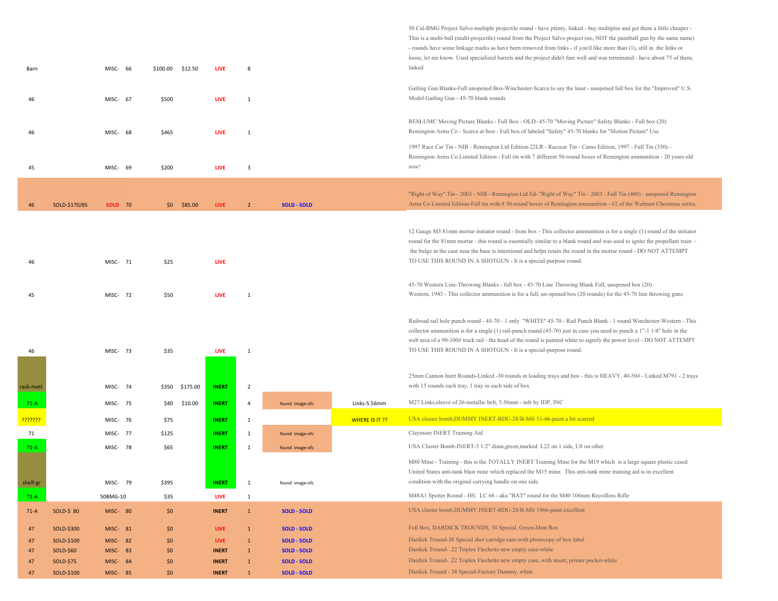| Barn                 |               | MISC- 66        |      | \$100.00 \$12.50 |                | <b>LIVE</b>  | 8              |                    |                       | 50 Cal-BMG Project Salvo-multiple projectile round - have plenty, linked - buy multiples and get them a little cheaper -<br>This is a multi-ball (multi-projectile) round from the Project Salvo project (no, NOT the paintball gun by the same name)<br>- rounds have some linkage marks as have been removed from links - if you'd like more than (1), still in the links or<br>loose, let me know. Used specialized barrels and the project didn't fare well and was terminated - have about 75 of them,<br>linked |
|----------------------|---------------|-----------------|------|------------------|----------------|--------------|----------------|--------------------|-----------------------|-----------------------------------------------------------------------------------------------------------------------------------------------------------------------------------------------------------------------------------------------------------------------------------------------------------------------------------------------------------------------------------------------------------------------------------------------------------------------------------------------------------------------|
| 46                   |               | MISC- 67        |      | \$500            |                | <b>LIVE</b>  | $\mathbf{1}$   |                    |                       | Gatling Gun Blanks-Full unopened Box-Winchester-Scarce to say the least - unopened full box for the "Improved" U.S.<br>Model Gatling Gun - 45-70 blank rounds                                                                                                                                                                                                                                                                                                                                                         |
| 46                   |               | MISC- 68        |      | \$465            |                | LIVE         | $\mathbf{1}$   |                    |                       | REM-UMC Moving Picture Blanks - Full Box - OLD- 45-70 "Moving Picture" Safety Blanks - Full box (20)<br>Remington Arms Co - Scarce at best - Full box of labeled "Safety" 45-70 blanks for "Motion Picture" Use                                                                                                                                                                                                                                                                                                       |
| 45                   |               | MISC- 69        |      | \$200            |                | <b>LIVE</b>  | $\overline{3}$ |                    |                       | 1997 Race Car Tin - NIB - Remington Ltd Edition-22LR - Racecar Tin - Camo Edition, 1997 - Full Tin (350) -<br>Remington Arms Co Limited Edition - Full tin with 7 different 50-round boxes of Remington ammunition - 20 years old<br>now!                                                                                                                                                                                                                                                                             |
|                      |               |                 |      |                  |                |              |                |                    |                       |                                                                                                                                                                                                                                                                                                                                                                                                                                                                                                                       |
| 46                   | SOLD-\$170/85 | <b>SOLD</b> 70  |      |                  | $$0$ $$85.00$  | <b>LIVE</b>  | $\overline{2}$ | <b>SOLD - SOLD</b> |                       | "Right of Way" Tin - 2003 - NIB - Remington Ltd Ed- "Right of Way" Tin - 2003 - Full Tin (400) - unopened Remington<br>Arms Co Limited Edition-Full tin with 8 50-round boxes of Remington ammunition - #2 of the Walmart Christmas series.                                                                                                                                                                                                                                                                           |
| 46                   |               | MISC- 71        |      | \$25             |                | LIVE         |                |                    |                       | 12 Gauge M3 81mm mortar initiator round - from box - This collector ammunition is for a single (1) round of the initiator<br>round for the 81mm mortar - this round is essentially similar to a blank round and was used to ignite the propellant train -<br>the bulge in the case near the base is intentional and helps retain the round in the mortar round - DO NOT ATTEMPT<br>TO USE THIS ROUND IN A SHOTGUN - It is a special-purpose round.                                                                    |
| 45                   |               | MISC- 72        |      | \$50             |                | <b>LIVE</b>  | $\mathbf{1}$   |                    |                       | 45-70 Western Line-Throwing Blanks - full box - 45-70 Line Throwing Blank Full, unopened box (20)<br>Western, 1943 - This collector ammunition is for a full, un-opened box (20 rounds) for the 45-70 line throwing guns                                                                                                                                                                                                                                                                                              |
| 46                   |               | MISC- 73        |      | \$35             |                | <b>LIVE</b>  | $\mathbf{1}$   |                    |                       | Railroad rail hole punch round - 45-70 - 1 only "WHITE" 45-70 - Rail Punch Blank - 1 round Winchester-Western - This<br>collector ammunition is for a single $(1)$ rail-punch round $(45-70)$ just in case you need to punch a $1"$ -1 $1/4"$ hole in the<br>web area of a 90-100# track rail - the head of the round is painted white to signify the power level - DO NOT ATTEMPT<br>TO USE THIS ROUND IN A SHOTGUN - It is a special-purpose round.                                                                 |
| rack-metl            |               | MISC- 74        |      |                  | \$350 \$175.00 | <b>INERT</b> | $\overline{2}$ |                    |                       | 25mm Cannon Inert Rounds-Linked -30 rounds in loading trays and box - this is HEAVY, 40-50# - Linked M791 - 2 trays<br>with 15 rounds each tray, 1 tray in each side of box                                                                                                                                                                                                                                                                                                                                           |
| $71-A$               |               | MISC- 75        |      | \$40             | \$10.00        | <b>INERT</b> | 4              | found image-ofc    | Links-5.56mm          | M27 Links, sleeve of 26-metallic belt, 5.56mm - mfr by IDP, INC                                                                                                                                                                                                                                                                                                                                                                                                                                                       |
| <mark>???????</mark> |               | MISC-           | - 76 | \$75             |                | <b>INERT</b> | $\mathbf{1}$   |                    | <b>WHERE IS IT ??</b> | USA cluster bomb, DUMMY. INERT-BDU-28/B-Mfr 11-66-paint a bit scarred                                                                                                                                                                                                                                                                                                                                                                                                                                                 |
| 71                   |               | MISC- 77        |      | \$125            |                | <b>INERT</b> | $\mathbf{1}$   | found image-ofc    |                       | Claymore INERT Training Aid                                                                                                                                                                                                                                                                                                                                                                                                                                                                                           |
| $71-A$               |               | MISC- 78        |      | \$65             |                | <b>INERT</b> | 1              | found image-ofc    |                       | USA Cluster Bomb-INERT-3 1/2" diam, green, marked L22 on 1 side, U8 on other                                                                                                                                                                                                                                                                                                                                                                                                                                          |
| shelf-gr             |               | MISC- 79        |      | \$395            |                | <b>INERT</b> | $\mathbf{1}$   | found image-ofc    |                       | M80 Mine - Training - this is the TOTALLY INERT Training Mine for the M19 which is a large square plastic cased<br>United States anti-tank blast mine which replaced the M15 mine. This anti-tank mine training aid is in excellent<br>condition with the original carrying handle on one side.                                                                                                                                                                                                                       |
| $71-A$               |               | 50BMG-10        |      | \$35             |                | <b>LIVE</b>  | $\mathbf{1}$   |                    |                       | M48A1 Spotter Round - HS: LC 66 - aka "BAT" round for the M40 106mm Recoilless Rifle                                                                                                                                                                                                                                                                                                                                                                                                                                  |
| $71-A$               | SOLD-\$ 80    | <b>MISC- 80</b> |      | \$0              |                | <b>INERT</b> | $\mathbf{1}$   | <b>SOLD - SOLD</b> |                       | USA cluster bomb, DUMMY.INERT-BDU-28/B-Mfr 1966-paint excellent                                                                                                                                                                                                                                                                                                                                                                                                                                                       |
| 47                   | SOLD-\$300    | MISC- 81        |      | \$0              |                | <b>LIVE</b>  | $\mathbf{1}$   | <b>SOLD - SOLD</b> |                       | Full Box, DARDICK TROUNDS, 38 Special, Green-Mint Box                                                                                                                                                                                                                                                                                                                                                                                                                                                                 |
| 47                   | SOLD-\$100    | <b>MISC-82</b>  |      | \$0              |                | <b>LIVE</b>  | $\mathbf{1}$   | <b>SOLD - SOLD</b> |                       | Dardick Tround-38 Special shot catridge-rare-with photocopy of box label                                                                                                                                                                                                                                                                                                                                                                                                                                              |
| 47                   | SOLD-\$60     | MISC- 83        |      | \$0              |                | <b>INERT</b> | $\mathbf{1}$   | <b>SOLD - SOLD</b> |                       | Dardick Tround- .22 Triplex Flechette new empty case-white                                                                                                                                                                                                                                                                                                                                                                                                                                                            |
| 47                   | SOLD-\$75     | MISC- 84        |      | \$0              |                | <b>INERT</b> | $\mathbf{1}$   | <b>SOLD - SOLD</b> |                       | Dardick Tround- .22 Triplex Flechette new empty case, with insert, primer pocket-white                                                                                                                                                                                                                                                                                                                                                                                                                                |
| 47                   | SOLD-\$100    | <b>MISC-85</b>  |      | \$0              |                | <b>INERT</b> | $\mathbf{1}$   | <b>SOLD - SOLD</b> |                       | Dardick Tround - 38 Special-Factory Dummy, white                                                                                                                                                                                                                                                                                                                                                                                                                                                                      |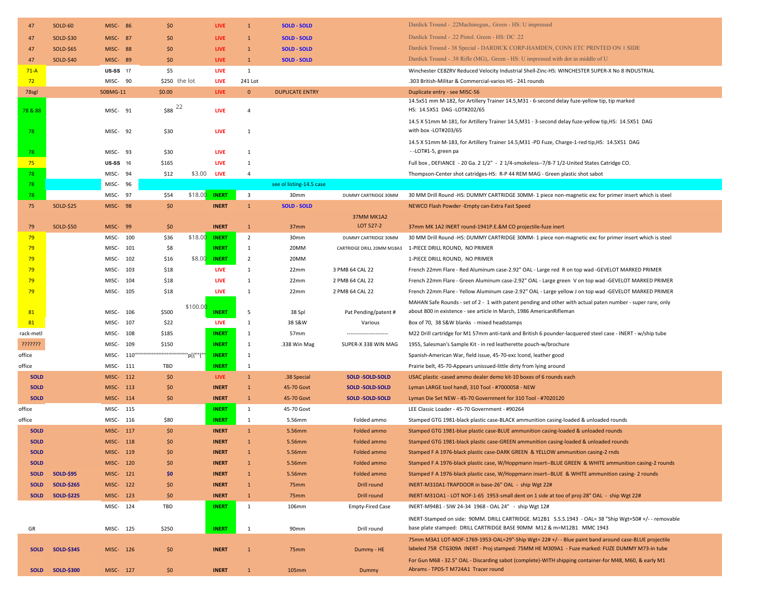| 47          | <b>SOLD-60</b>    | <b>MISC- 86</b>             | \$0                     | <b>LIVE</b>                | $\mathbf{1}$                   | <b>SOLD - SOLD</b>       |                            | Dardick Tround - .22Machinegun,. Green - HS: U impressed                                                                                                                                              |
|-------------|-------------------|-----------------------------|-------------------------|----------------------------|--------------------------------|--------------------------|----------------------------|-------------------------------------------------------------------------------------------------------------------------------------------------------------------------------------------------------|
| 47          | SOLD-\$30         | <b>MISC- 87</b>             | \$0                     | <b>LIVE</b>                | $\mathbf{1}$                   | <b>SOLD - SOLD</b>       |                            | Dardick Tround - .22 Pistol. Green - HS: DC .22                                                                                                                                                       |
| 47          | <b>SOLD-\$65</b>  | <b>MISC-88</b>              | \$0                     | <b>LIVE</b>                | $\mathbf{1}$                   | <b>SOLD - SOLD</b>       |                            | Dardick Tround - 38 Special - DARDICK CORP-HAMDEN, CONN ETC PRINTED ON 1 SIDE                                                                                                                         |
| 47          | SOLD-\$40         | MISC- 89                    | \$0                     | <b>LIVE</b>                | $\mathbf{1}$                   | <b>SOLD - SOLD</b>       |                            | Dardick Tround - .38 Rifle (MG),. Green - HS: U impressed with dot in middle of U                                                                                                                     |
| $71-A$      |                   | <b>US-SS</b> 17             | \$5                     | <b>LIVE</b>                | $\mathbf{1}$                   |                          |                            | Winchester CE8ZRV Reduced Velocity Industrial Shell-Zinc-HS: WINCHESTER SUPER-X No 8 INDUSTRIAL                                                                                                       |
| 72          |                   | MISC- 90                    | \$250 the lot           | <b>LIVE</b>                | 241 Lot                        |                          |                            | .303 British-Militar & Commercial-varios HS - 241 rounds                                                                                                                                              |
| 78sgl       |                   | 50BMG-11                    | \$0.00                  | <b>LIVE</b>                | $\mathbf{0}$                   | <b>DUPLICATE ENTRY</b>   |                            | Duplicate entry - see MISC-56                                                                                                                                                                         |
| 78 & 88     |                   | MISC- 91                    | $$88$ $^{22}$           | <b>LIVE</b>                | $\overline{4}$                 |                          |                            | 14.5x51 mm M-182, for Artillery Trainer 14.5, M31 - 6-second delay fuze-yellow tip, tip marked<br>HS: 14.5X51 DAG -LOT#202/65                                                                         |
| 78          |                   | MISC- 92                    | \$30                    | <b>LIVE</b>                | 1                              |                          |                            | 14.5 X 51mm M-181, for Artillery Trainer 14.5, M31 - 3-second delay fuze-yellow tip, HS: 14.5X51 DAG<br>with box -LOT#203/65                                                                          |
|             |                   | MISC-93                     | \$30                    | <b>LIVE</b>                | 1                              |                          |                            | 14.5 X 51mm M-183, for Artillery Trainer 14.5, M31 -PD Fuze, Charge-1-red tip, HS: 14.5X51 DAG<br>--LOT#1-5, green pa                                                                                 |
| 78          |                   |                             |                         |                            |                                |                          |                            |                                                                                                                                                                                                       |
| 75<br>78    |                   | <b>US-SS</b> 16<br>MISC- 94 | \$165<br>\$3.00<br>\$12 | <b>LIVE</b><br><b>LIVE</b> | $\mathbf{1}$<br>$\overline{4}$ |                          |                            | Full box, DEFIANCE - 20 Ga. 2 1/2" - 2 1/4-smokeless--7/8-7 1/2-United States Catridge CO.<br>Thompson-Center shot catridges-HS: R-P 44 REM MAG - Green plastic shot sabot                            |
| 78          |                   | MISC- 96                    |                         |                            |                                | see ol listing-14.5 case |                            |                                                                                                                                                                                                       |
| 78          |                   | MISC- 97                    | \$18.00<br>\$54         | <b>INERT</b>               | $\overline{\mathbf{3}}$        | 30mm                     | DUMMY CARTRIDGE 30MM       | 30 MM Drill Round -HS: DUMMY CARTRIDGE 30MM- 1 piece non-magnetic exc for primer insert which is steel                                                                                                |
| 75          | <b>SOLD-\$25</b>  | <b>MISC-98</b>              | \$0                     | <b>INERT</b>               | $\mathbf{1}$                   | <b>SOLD - SOLD</b>       |                            | NEWCO Flash Powder - Empty can-Extra Fast Speed                                                                                                                                                       |
| 79          | SOLD-\$50         | MISC- 99                    | \$0                     | <b>INERT</b>               | $\mathbf{1}$                   | 37mm                     | 37MM MK1A2<br>LOT 527-2    | 37mm MK 1A2 INERT round-1941P.E.&M CO projectile-fuze inert                                                                                                                                           |
| 79          |                   | MISC- 100                   | \$36<br>\$18.00         | <b>INERT</b>               | $\overline{2}$                 | 30mm                     | DUMMY CARTRIDGE 30MM       | 30 MM Drill Round -HS: DUMMY CARTRIDGE 30MM- 1 piece non-magnetic exc for primer insert which is steel                                                                                                |
| 79          |                   | MISC- 101                   | \$8                     | <b>INERT</b>               | 1                              | 20MM                     | CARTRIDGE DRILL 20MM M18A3 | 1-PIECE DRILL ROUND, NO PRIMER                                                                                                                                                                        |
| 79          |                   | MISC- 102                   | \$8.00<br>\$16          | <b>INERT</b>               | $\overline{2}$                 | 20MM                     |                            | 1-PIECE DRILL ROUND, NO PRIMER                                                                                                                                                                        |
| 79          |                   | MISC- 103                   | \$18                    | <b>LIVE</b>                | 1                              | 22mm                     | 3 PMB 64 CAL 22            | French 22mm Flare - Red Aluminum case-2.92" OAL - Large red R on top wad -GEVELOT MARKED PRIMER                                                                                                       |
| 79          |                   | MISC- 104                   | \$18                    | <b>LIVE</b>                | $\mathbf{1}$                   | 22mm                     | 2 PMB 64 CAL 22            | French 22mm Flare - Green Aluminum case-2.92" OAL - Large green V on top wad -GEVELOT MARKED PRIMER                                                                                                   |
| 79          |                   | MISC- 105                   | \$18                    | <b>LIVE</b>                | 1                              | 22mm                     | 2 PMB 64 CAL 22            | French 22mm Flare - Yellow Aluminum case-2.92" OAL - Large yellow J on top wad -GEVELOT MARKED PRIMER                                                                                                 |
| 81          |                   | MISC- 106                   | \$100.00<br>\$500       | <b>INERT</b>               | 5                              | 38 Spl                   | Pat Pending/patent #       | MAHAN Safe Rounds - set of 2 - 1 with patent pending and other with actual paten number - super rare, only<br>about 800 in existence - see article in March, 1986 AmericanRifleman                    |
| 81          |                   | MISC- 107                   | \$22                    | <b>LIVE</b>                | 1                              | 38 S&W                   | Various                    | Box of 70, 38 S&W blanks - mixed headstamps                                                                                                                                                           |
| rack-metl   |                   | MISC- 108                   | \$185                   | <b>INERT</b>               | 1                              | 57 <sub>mm</sub>         | ----------------------     | M22 Drill cartridge for M1 57mm anti-tank and British 6 pounder-lacquered steel case - INERT - w/ship tube                                                                                            |
| ???????     |                   | MISC- 109                   | \$150                   | <b>INERT</b>               | 1                              | .338 Win Mag             | SUPER-X 338 WIN MAG        | 1955, Salesman's Sample Kit - in red leatherette pouch-w/brochure                                                                                                                                     |
| office      |                   | MISC- 110                   | ""p[{""{""              | <b>INERT</b>               | 1                              |                          |                            | Spanish-American War, field issue, 45-70-exc lcond, leather good                                                                                                                                      |
| office      |                   | MISC- 111                   | TBD                     | <b>INERT</b>               | 1                              |                          |                            | Prairie belt, 45-70-Appears unissued-little dirty from lying around                                                                                                                                   |
| <b>SOLD</b> |                   | MISC- 112                   | \$0                     | <b>LIVE</b>                | $\mathbf{1}$                   | .38 Special              | <b>SOLD-SOLD-SOLD</b>      | USAC plastic -cased ammo dealer demo kit-10 boxes of 6 rounds each                                                                                                                                    |
| <b>SOLD</b> |                   | MISC- 113                   | \$0                     | <b>INERT</b>               | $\mathbf{1}$                   | 45-70 Govt               | <b>SOLD-SOLD-SOLD</b>      | Lyman LARGE tool handl, 310 Tool - #7000058 - NEW                                                                                                                                                     |
| <b>SOLD</b> |                   | MISC- 114                   | \$0                     | <b>INERT</b>               | $\mathbf 1$                    | 45-70 Govt               | SOLD-SOLD-SOLD             | Lyman Die Set NEW - 45-70 Government for 310 Tool - #7020120                                                                                                                                          |
| office      |                   | MISC- 115                   |                         | <b>INERT</b>               | $\mathbf{1}$                   | 45-70 Govt               |                            | LEE Classic Loader - 45-70 Government - #90264                                                                                                                                                        |
| office      |                   | MISC- 116                   | \$80                    | <b>INERT</b>               | 1                              | 5.56mm                   | Folded ammo                | Stamped GTG 1981-black plastic case-BLACK ammunition casing-loaded & unloaded rounds                                                                                                                  |
| <b>SOLD</b> |                   | MISC- 117                   | \$0                     | <b>INERT</b>               | $\mathbf{1}$                   | 5.56mm                   | Folded ammo                | Stamped GTG 1981-blue plastic case-BLUE ammunition casing-loaded & unloaded rounds                                                                                                                    |
| <b>SOLD</b> |                   | MISC- 118                   | \$0                     | <b>INERT</b>               | 1                              | 5.56mm                   | Folded ammo                | Stamped GTG 1981-black plastic case-GREEN ammunition casing-loaded & unloaded rounds                                                                                                                  |
| <b>SOLD</b> |                   | MISC- 119                   | \$0                     | <b>INERT</b>               | $\mathbf{1}$                   | 5.56mm                   | Folded ammo                | Stamped F A 1976-black plastic case-DARK GREEN & YELLOW ammunition casing-2 rnds                                                                                                                      |
| <b>SOLD</b> |                   | MISC- 120                   | \$0                     | <b>INERT</b>               | $\mathbf{1}$                   | 5.56mm                   | Folded ammo                | Stamped F A 1976-black plastic case, W/Hoppmann insert--BLUE GREEN & WHITE ammunition casing-2 rounds                                                                                                 |
| <b>SOLD</b> | <b>SOLD-\$95</b>  | MISC- 121                   | \$0                     | <b>INERT</b>               | $\mathbf{1}$                   | 5.56mm                   | Folded ammo                | Stamped F A 1976-black plastic case, W/Hoppmann insert--BLUE & WHITE ammunition casing- 2 rounds                                                                                                      |
| <b>SOLD</b> | <b>SOLD-\$265</b> | MISC- 122                   | \$0                     | <b>INERT</b>               | $\mathbf 1$                    | 75mm                     | Drill round                | INERT-M310A1-TRAPDOOR in base-26" OAL - ship Wgt 22#                                                                                                                                                  |
| <b>SOLD</b> | <b>SOLD-\$225</b> | MISC- 123                   | \$0                     | <b>INERT</b>               | $\mathbf{1}$                   | 75mm                     | Drill round                | INERT-M31OA1 - LOT NOF-1-65 1953-small dent on 1 side at too of proj-28" OAL - ship Wgt 22#                                                                                                           |
|             |                   | MISC- 124                   | TBD                     | <b>INERT</b>               | $\mathbf{1}$                   | 106mm                    | <b>Empty-Fired Case</b>    | INERT-M94B1 - SIW 24-34 1968 - OAL 24" - ship Wgt 12#                                                                                                                                                 |
| GR          |                   | MISC- 125                   | \$250                   | <b>INERT</b>               | $\mathbf{1}$                   | 90mm                     | Drill round                | INERT-Stamped on side: 90MM. DRILL CARTRIDGE. M12B1 S.S.S.1943 - OAL= 38 "Ship Wgt=50# +/- - removable<br>base plate stamped: DRILL CARTRIDGE BASE 90MM M12 & m=M12B1 MMC 1943                        |
| <b>SOLD</b> | <b>SOLD-\$345</b> | MISC- 126                   | \$0                     | <b>INERT</b>               | $\mathbf{1}$                   | 75mm                     | Dummy - HE                 | 75mm M3A1 LOT-MOF-1769-1953-OAL=29"-Ship Wgt= 22# +/- - Blue paint band around case-BLUE projectile<br>labeled 75R CTG309A INERT - Proj stamped: 75MM HE M309A1 - Fuze marked: FUZE DUMMY M73-in tube |
| <b>SOLD</b> | <b>SOLD-\$300</b> | MISC- 127                   | \$0\$                   | <b>INERT</b>               | $\mathbf{1}$                   | 105mm                    | Dummy                      | For Gun M68 - 32.5" OAL - Discarding sabot (complete)-WITH shipping container-for M48, M60, & early M1<br>Abrams - TPDS-T M724A1 Tracer round                                                         |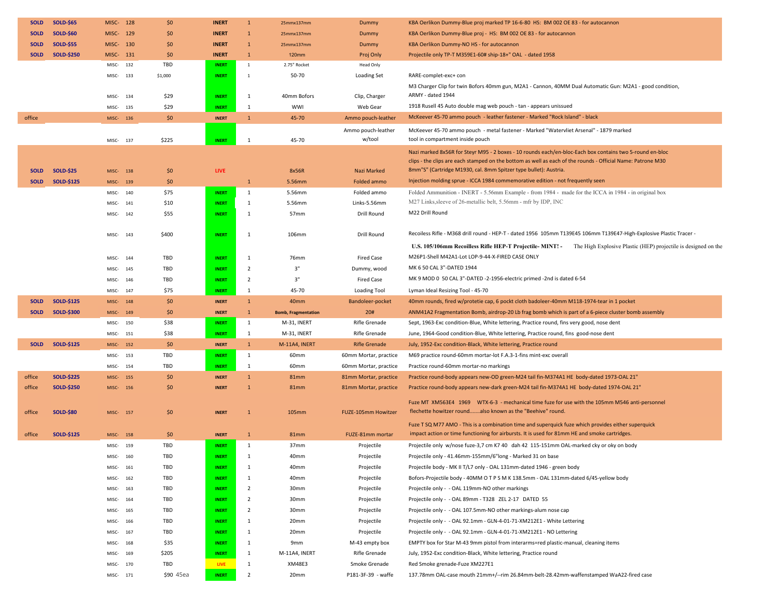| <b>SOLD</b> | <b>SOLD-\$65</b>  | MISC- 128         |     | \$0          | <b>INERT</b>                 | $\mathbf{1}$                 | 25mmx137mm                 | Dummy                          | KBA Oerlikon Dummy-Blue proj marked TP 16-6-80 HS: BM 002 OE 83 - for autocannon                                                                        |
|-------------|-------------------|-------------------|-----|--------------|------------------------------|------------------------------|----------------------------|--------------------------------|---------------------------------------------------------------------------------------------------------------------------------------------------------|
| <b>SOLD</b> | <b>SOLD-\$60</b>  | MISC- 129         |     | \$0          | <b>INERT</b>                 | 1                            | 25mmx137mm                 | Dummy                          | KBA Oerlikon Dummy-Blue proj - HS: BM 002 OE 83 - for autocannon                                                                                        |
| <b>SOLD</b> | <b>SOLD-\$55</b>  | MISC- 130         |     | \$0          | <b>INERT</b>                 | $\mathbf{1}$                 | 25mmx137mm                 | Dummy                          | KBA Oerlikon Dummy-NO HS - for autocannon                                                                                                               |
| <b>SOLD</b> | <b>SOLD-\$250</b> | MISC- 131         |     | \$0          | <b>INERT</b>                 | $\mathbf{1}$                 | <b>120mm</b>               | Proj Only                      | Projectile only TP-T M359E1-60# ship-18+" OAL - dated 1958                                                                                              |
|             |                   | MISC-             | 132 | TBD          | <b>INERT</b>                 | $\mathbf{1}$                 | 2.75" Rocket               | Head Only                      |                                                                                                                                                         |
|             |                   | MISC-             | 133 | \$1,000      | <b>INERT</b>                 | $\mathbf{1}$                 | 50-70                      | <b>Loading Set</b>             | RARE-complet-exc+ con                                                                                                                                   |
|             |                   |                   |     |              |                              |                              |                            |                                | M3 Charger Clip for twin Bofors 40mm gun, M2A1 - Cannon, 40MM Dual Automatic Gun: M2A1 - good condition,                                                |
|             |                   | MISC-             | 134 | \$29         | <b>INERT</b>                 | $\mathbf{1}$                 | 40mm Bofors                | Clip, Charger                  | ARMY - dated 1944                                                                                                                                       |
|             |                   | MISC-             | 135 | \$29         | <b>INERT</b>                 | $\mathbf{1}$                 | WWI                        | Web Gear                       | 1918 Rusell 45 Auto double mag web pouch - tan - appears unissued                                                                                       |
| office      |                   | MISC- 136         |     | \$0          | <b>INERT</b>                 | $\mathbf{1}$                 | 45-70                      | Ammo pouch-leather             | McKeever 45-70 ammo pouch - leather fastener - Marked "Rock Island" - black                                                                             |
|             |                   |                   |     |              |                              |                              |                            | Ammo pouch-leather             | McKeever 45-70 ammo pouch - metal fastener - Marked "Watervliet Arsenal" - 1879 marked                                                                  |
|             |                   | MISC- 137         |     | \$225        | <b>INERT</b>                 | $\mathbf{1}$                 | 45-70                      | w/tool                         | tool in compartment inside pouch                                                                                                                        |
|             |                   |                   |     |              |                              |                              |                            |                                | Nazi marked 8x56R for Steyr M95 - 2 boxes - 10 rounds each/en-bloc-Each box contains two 5-round en-bloc                                                |
|             |                   |                   |     |              |                              |                              |                            |                                | clips - the clips are each stamped on the bottom as well as each of the rounds - Official Name: Patrone M30                                             |
| <b>SOLD</b> | <b>SOLD-\$25</b>  | MISC-             | 138 | \$0          | <b>LIVE</b>                  |                              | 8x56R                      | Nazi Marked                    | 8mm"S" (Cartridge M1930, cal. 8mm Spitzer type bullet): Austria.                                                                                        |
| <b>SOLD</b> | <b>SOLD-\$125</b> | MISC-             | 139 | \$0          |                              | $\mathbf{1}$                 | 5.56mm                     | Folded ammo                    | Injection molding sprue - ICCA 1984 commemorative edition - not frequently seen                                                                         |
|             |                   | MISC-             | 140 | \$75         | <b>INERT</b>                 | $\mathbf{1}$                 | 5.56mm                     | Folded ammo                    | Folded Ammunition - INERT - 5.56mm Example - from 1984 - made for the ICCA in 1984 - in original box                                                    |
|             |                   | MISC-             | 141 | \$10         | <b>INERT</b>                 | $\mathbf{1}$                 | 5.56mm                     | Links-5.56mm                   | M27 Links, sleeve of 26-metallic belt, 5.56mm - mfr by IDP, INC                                                                                         |
|             |                   | MISC-             | 142 | \$55         | <b>INERT</b>                 | 1                            | 57 <sub>mm</sub>           | Drill Round                    | M22 Drill Round                                                                                                                                         |
|             |                   |                   |     |              |                              |                              |                            |                                |                                                                                                                                                         |
|             |                   | MISC-             | 143 | \$400        | <b>INERT</b>                 | 1                            | 106mm                      | Drill Round                    | Recoiless Rifle - M368 drill round - HEP-T - dated 1956 105mm T139E45 106mm T139E47-High-Explosive Plastic Tracer -                                     |
|             |                   |                   |     |              |                              |                              |                            |                                | U.S. 105/106mm Recoilless Rifle HEP-T Projectile-MINT! - The High Explosive Plastic (HEP) projectile is designed on the                                 |
|             |                   | MISC-             | 144 | TBD          | <b>INERT</b>                 | $\mathbf{1}$                 | 76mm                       | <b>Fired Case</b>              | M26P1-Shell M42A1-Lot LOP-9-44-X-FIRED CASE ONLY                                                                                                        |
|             |                   |                   |     | TBD          | <b>INERT</b>                 | $\overline{2}$               | 3"                         |                                | MK 6 50 CAL 3"-DATED 1944                                                                                                                               |
|             |                   | MISC-             | 145 |              |                              |                              | 3"                         | Dummy, wood                    | MK 9 MOD 0 50 CAL 3"-DATED -2-1956-electric primed -2nd is dated 6-54                                                                                   |
|             |                   | MISC-             | 146 | TBD          | <b>INERT</b>                 | $\overline{2}$               |                            | Fired Case                     |                                                                                                                                                         |
|             |                   | MISC-             | 147 | \$75         | <b>INERT</b>                 | $\mathbf{1}$                 | 45-70                      | <b>Loading Tool</b>            | Lyman Ideal Resizing Tool - 45-70                                                                                                                       |
| <b>SOLD</b> | <b>SOLD-\$125</b> | MISC-             | 148 | \$0          | <b>INERT</b>                 | $\mathbf{1}$                 | 40mm                       | Bandoleer-pocket               | 40mm rounds, fired w/protetie cap, 6 pockt cloth badoleer-40mm M118-1974-tear in 1 pocket                                                               |
| <b>SOLD</b> | <b>SOLD-\$300</b> | MISC-             | 149 | \$0          | <b>INERT</b>                 | $\mathbf{1}$                 | <b>Bomb, Fragmentation</b> | 20#                            | ANM41A2 Fragmentation Bomb, airdrop-20 Lb frag bomb which is part of a 6-piece cluster bomb assembly                                                    |
|             |                   | MISC-             | 150 | \$38<br>\$38 | <b>INERT</b>                 | 1                            | M-31, INERT<br>M-31, INERT | Rifle Grenade<br>Rifle Grenade | Sept, 1963-Exc condition-Blue, White lettering, Practice round, fins very good, nose dent                                                               |
| <b>SOLD</b> | <b>SOLD-\$125</b> | MISC-<br>MISC-152 | 151 | \$0          | <b>INERT</b><br><b>INERT</b> | $\mathbf{1}$<br>$\mathbf{1}$ | M-11A4, INERT              | <b>Rifle Grenade</b>           | June, 1964-Good condition-Blue, White lettering, Practice round, fins good-nose dent<br>July, 1952-Exc condition-Black, White lettering, Practice round |
|             |                   |                   |     | TBD          |                              | $\mathbf{1}$                 |                            |                                | M69 practice round-60mm mortar-lot F.A.3-1-fins mint-exc overall                                                                                        |
|             |                   | MISC-             | 153 |              | <b>INERT</b>                 |                              | 60mm                       | 60mm Mortar, practice          |                                                                                                                                                         |
|             |                   | MISC-             | 154 | TBD          | <b>INERT</b>                 | $\mathbf{1}$                 | 60mm                       | 60mm Mortar, practice          | Practice round-60mm mortar-no markings                                                                                                                  |
| office      | <b>SOLD-\$225</b> | MISC-             | 155 | \$0          | <b>INERT</b>                 | $\mathbf{1}$                 | <b>81mm</b>                | 81mm Mortar, practice          | Practice round-body appears new-OD green-M24 tail fin-M374A1 HE body-dated 1973-OAL 21"                                                                 |
| office      | <b>SOLD-\$250</b> | MISC-             | 156 | \$0          | <b>INERT</b>                 | $\mathbf{1}$                 | <b>81mm</b>                | 81mm Mortar, practice          | Practice round-body appears new-dark green-M24 tail fin-M374A1 HE body-dated 1974-OAL 21"                                                               |
|             |                   |                   |     |              |                              |                              |                            |                                | Fuze MT XM563E4 1969 WTX-6-3 - mechanical time fuze for use with the 105mm M546 anti-personnel                                                          |
| office      | <b>SOLD-\$80</b>  | MISC-             | 157 | \$0          | <b>INERT</b>                 | $\mathbf{1}$                 | 105mm                      | FUZE-105mm Howitzer            | flechette howitzer roundalso known as the "Beehive" round.                                                                                              |
|             |                   |                   |     |              |                              |                              |                            |                                | Fuze T SQ M77 AMO - This is a combination time and superquick fuze which provides either superquick                                                     |
| office      | <b>SOLD-\$125</b> | MISC-             | 158 | \$0          | <b>INERT</b>                 | $\mathbf{1}$                 | <b>81mm</b>                | FUZE-81mm mortar               | impact action or time functioning for airbursts. It is used for 81mm HE and smoke cartridges.                                                           |
|             |                   | MISC-             | 159 | TBD          | <b>INERT</b>                 | 1                            | 37 <sub>mm</sub>           | Projectile                     | Projectile only w/nose fuze-3,7 cm K7 40 dah 42 115-151mm OAL-marked cky or oky on body                                                                 |
|             |                   | MISC-             | 160 | TBD          | <b>INERT</b>                 | 1                            | 40mm                       | Projectile                     | Projectile only - 41.46mm-155mm/6"long - Marked 31 on base                                                                                              |
|             |                   | MISC- 161         |     | TBD          | <b>INERT</b>                 | 1                            | 40mm                       | Projectile                     | Projectile body - MK II T/L7 only - OAL 131mm-dated 1946 - green body                                                                                   |
|             |                   | MISC-             | 162 | TBD          | <b>INERT</b>                 | 1                            | 40mm                       | Projectile                     | Bofors-Projectile body - 40MM O T P S M K 138.5mm - OAL 131mm-dated 6/45-yellow body                                                                    |
|             |                   | MISC-             | 163 | TBD          | <b>INERT</b>                 | $\overline{2}$               | 30mm                       | Projectile                     | Projectile only - - OAL 119mm-NO other markings                                                                                                         |
|             |                   | MISC-             | 164 | TBD          | <b>INERT</b>                 | $\overline{2}$               | 30mm                       | Projectile                     | Projectile only - - OAL 89mm - T328 ZEL 2-17 DATED 55                                                                                                   |
|             |                   | MISC-             | 165 | TBD          | <b>INERT</b>                 | 2                            | 30mm                       | Projectile                     | Projectile only - - OAL 107.5mm-NO other markings-alum nose cap                                                                                         |
|             |                   | MISC-             | 166 | TBD          | <b>INERT</b>                 | 1                            | 20mm                       | Projectile                     | Projectile only - - OAL 92.1mm - GLN-4-01-71-XM212E1 - White Lettering                                                                                  |
|             |                   | MISC-             | 167 | TBD          | <b>INERT</b>                 | 1                            | 20mm                       | Projectile                     | Projectile only - - OAL 92.1mm - GLN-4-01-71-XM212E1 - NO Lettering                                                                                     |
|             |                   | MISC-             | 168 | \$35         | <b>INERT</b>                 | $\mathbf{1}$                 | 9mm                        | M-43 empty box                 | EMPTY box for Star M-43 9mm pistol from interarms=red plastic-manual, cleaning items                                                                    |
|             |                   | MISC-             | 169 | \$205        | <b>INERT</b>                 | $\mathbf{1}$                 | M-11A4, INERT              | Rifle Grenade                  | July, 1952-Exc condition-Black, White lettering, Practice round                                                                                         |
|             |                   |                   |     |              |                              |                              | XM48E3                     |                                | Red Smoke grenade-Fuze XM227E1                                                                                                                          |
|             |                   | MISC-             | 170 | TBD          | LIVE                         | 1                            |                            | Smoke Grenade                  |                                                                                                                                                         |
|             |                   | MISC- 171         |     | \$90 45ea    | <b>INERT</b>                 | $\overline{2}$               | 20mm                       | P181-3F-39 - waffe             | 137.78mm OAL-case mouth 21mm+/--rim 26.84mm-belt-28.42mm-waffenstamped WaA22-fired case                                                                 |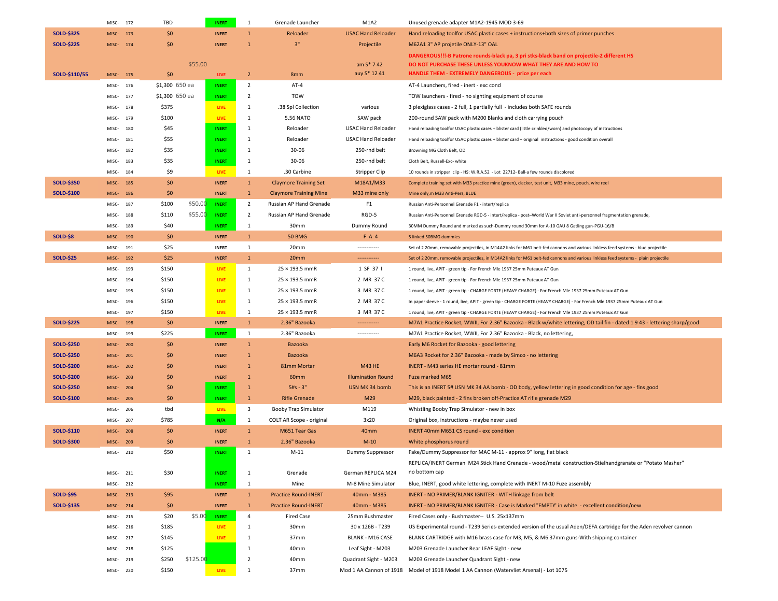|                   | MISC-<br>172 | TBD            |          | <b>INERT</b> | 1                       | Grenade Launcher              | M1A2                      | Unused grenade adapter M1A2-1945 MOD 3-69                                                                                          |
|-------------------|--------------|----------------|----------|--------------|-------------------------|-------------------------------|---------------------------|------------------------------------------------------------------------------------------------------------------------------------|
| <b>SOLD-\$325</b> | 173<br>MISC- | \$0\$          |          | <b>INERT</b> | $\mathbf{1}$            | Reloader                      | <b>USAC Hand Reloader</b> | Hand reloading toolfor USAC plastic cases + instructions+both sizes of primer punches                                              |
| <b>SOLD-\$225</b> | MISC-<br>174 | \$0            |          | <b>INERT</b> | $\mathbf{1}$            | 3"                            | Projectile                | M62A1 3" AP projetile ONLY-13" OAL                                                                                                 |
|                   |              |                |          |              |                         |                               |                           | DANGEROUS!!!-B Patrone rounds-black pa, 3 pri stks-black band on projectile-2 different HS                                         |
|                   |              |                | \$55.00  |              |                         |                               | am $S* 742$               | DO NOT PURCHASE THESE UNLESS YOUKNOW WHAT THEY ARE AND HOW TO                                                                      |
| SOLD-\$110/55     | MISC- 175    | \$0            |          | <b>LIVE</b>  | $2^{\circ}$             | 8mm                           | auy S* 12 41              | HANDLE THEM - EXTREMELY DANGEROUS - price per each                                                                                 |
|                   | MISC-<br>176 | \$1,300 650 ea |          | <b>INERT</b> | $\overline{2}$          | AT-4                          |                           | AT-4 Launchers, fired - inert - exc cond                                                                                           |
|                   | MISC-<br>177 | \$1,300 650 ea |          | <b>INERT</b> | $\overline{2}$          | <b>TOW</b>                    |                           | TOW launchers - fired - no sighting equipment of course                                                                            |
|                   | 178<br>MISC- | \$375          |          | <b>LIVE</b>  | 1                       | .38 Spl Collection            | various                   | 3 plexiglass cases - 2 full, 1 partially full - includes both SAFE rounds                                                          |
|                   | MISC-<br>179 | \$100          |          | <b>LIVE</b>  | <sup>1</sup>            | 5.56 NATO                     | SAW pack                  | 200-round SAW pack with M200 Blanks and cloth carrying pouch                                                                       |
|                   | MISC-<br>180 | \$45           |          | <b>INERT</b> | <sup>1</sup>            | Reloader                      | <b>USAC Hand Reloader</b> | Hand reloading toolfor USAC plastic cases + blister card (little crinkled/worn) and photocopy of instructions                      |
|                   | 181<br>MISC- | \$55           |          | <b>INERT</b> | $\mathbf{1}$            | Reloader                      | <b>USAC Hand Reloader</b> | Hand reloading toolfor USAC plastic cases + blister card + original instructions - good condition overall                          |
|                   | MISC-<br>182 | \$35           |          | <b>INERT</b> | 1                       | 30-06                         | 250-rnd belt              | Browning MG Cloth Belt, OD                                                                                                         |
|                   | MISC-<br>183 | \$35           |          | <b>INERT</b> | 1                       | $30 - 06$                     | 250-rnd belt              | Cloth Belt, Russell-Exc- white                                                                                                     |
|                   | 184<br>MISC- | \$9            |          | LIVE         | 1                       | .30 Carbine                   | <b>Stripper Clip</b>      | 10 rounds in stripper clip - HS: W.R.A.52 - Lot 22712- Ball-a few rounds discolored                                                |
| <b>SOLD-\$350</b> | MISC-<br>185 | \$0            |          | <b>INERT</b> | $\mathbf{1}$            | <b>Claymore Training Set</b>  | M18A1/M33                 | Complete training set with M33 practice mine (green), clacker, test unit, M33 mine, pouch, wire reel                               |
| <b>SOLD-\$100</b> | MISC-<br>186 | \$0            |          | <b>INERT</b> | $\mathbf{1}$            | <b>Claymore Training Mine</b> | M33 mine only             | Mine only, m M33 Anti-Pers, BLUE                                                                                                   |
|                   | MISC-<br>187 | \$100          | \$50.00  | <b>INERT</b> | $\overline{2}$          | Russian AP Hand Grenade       | F <sub>1</sub>            | Russian Anti-Personnel Grenade F1 - intert/replica                                                                                 |
|                   |              |                | \$55.00  |              | $\overline{2}$          |                               | RGD-5                     | Russian Anti-Personnel Grenade RGD-5 - intert/replica - post-World War II Soviet anti-personnel fragmentation grenade,             |
|                   | MISC-<br>188 | \$110          |          | <b>INERT</b> |                         | Russian AP Hand Grenade       |                           |                                                                                                                                    |
|                   | MISC-<br>189 | \$40           |          | <b>INERT</b> | 1                       | 30mm                          | Dummy Round               | 30MM Dummy Round and marked as such-Dummy round 30mm for A-10 GAU 8 Gatling gun-PGU-16/B                                           |
| <b>SOLD-\$8</b>   | MISC-<br>190 | \$0            |          | <b>INERT</b> | $\mathbf{1}$            | <b>50 BMG</b>                 | <b>FA4</b>                | 5 linked 50BMG dummies                                                                                                             |
|                   | MISC-<br>191 | \$25           |          | <b>INERT</b> | 1                       | 20mm                          | ------------              | Set of 2 20mm, removable projectiles, in M14A2 links for M61 belt-fed cannons and various linkless feed systems - blue projectile  |
| <b>SOLD-\$25</b>  | MISC-<br>192 | \$25           |          | <b>INERT</b> | $\mathbf{1}$            | 20mm                          | ------------              | Set of 2 20mm, removable projectiles, in M14A2 links for M61 belt-fed cannons and various linkless feed systems - plain projectile |
|                   | 193<br>MISC- | \$150          |          | LIVE         | $\mathbf{1}$            | $25 \times 193.5$ mmR         | 1 SF 37 I                 | 1 round, live, APIT - green tip - For French Mle 1937 25mm Puteaux AT Gun                                                          |
|                   | MISC-<br>194 | \$150          |          | LIVE         | 1                       | $25 \times 193.5$ mmR         | 2 MR 37 C                 | 1 round, live, APIT - green tip - For French Mle 1937 25mm Puteaux AT Gun                                                          |
|                   | MISC-<br>195 | \$150          |          | <b>LIVE</b>  | 1                       | $25 \times 193.5$ mmR         | 3 MR 37 C                 | 1 round, live, APIT - green tip - CHARGE FORTE (HEAVY CHARGE) - For French Mle 1937 25mm Puteaux AT Gun                            |
|                   | MISC-<br>196 | \$150          |          | LIVE         | $\mathbf{1}$            | $25 \times 193.5$ mmR         | 2 MR 37 C                 | In paper sleeve - 1 round, live, APIT - green tip - CHARGE FORTE (HEAVY CHARGE) - For French Mle 1937 25mm Puteaux AT Gun          |
|                   | MISC-<br>197 | \$150          |          | LIVE         | <sup>1</sup>            | $25 \times 193.5$ mmR         | 3 MR 37 C                 | 1 round, live, APIT - green tip - CHARGE FORTE (HEAVY CHARGE) - For French Mle 1937 25mm Puteaux AT Gun                            |
| <b>SOLD-\$225</b> | MISC-<br>198 | \$0            |          | <b>INERT</b> | $\mathbf{1}$            | 2.36" Bazooka                 | -------------             | M7A1 Practice Rocket, WWII, For 2.36" Bazooka - Black w/white lettering, OD tail fin - dated 1943 - lettering sharp/good           |
|                   | MISC-<br>199 | \$225          |          | <b>INERT</b> | $\mathbf{1}$            | 2.36" Bazooka                 | ------------              | M7A1 Practice Rocket, WWII, For 2.36" Bazooka - Black, no lettering,                                                               |
| <b>SOLD-\$250</b> | MISC-<br>200 | \$0            |          | <b>INERT</b> | $\mathbf{1}$            | Bazooka                       |                           | Early M6 Rocket for Bazooka - good lettering                                                                                       |
| <b>SOLD-\$250</b> | MISC-<br>201 | \$0            |          | <b>INERT</b> | $\mathbf{1}$            | Bazooka                       |                           | M6A3 Rocket for 2.36" Bazooka - made by Simco - no lettering                                                                       |
| <b>SOLD-\$200</b> | MISC-<br>202 | \$0            |          | <b>INERT</b> | $\mathbf{1}$            | 81mm Mortar                   | <b>M43 HE</b>             | INERT - M43 series HE mortar round - 81mm                                                                                          |
| <b>SOLD-\$200</b> | MISC-<br>203 | \$0            |          | <b>INERT</b> | $\mathbf{1}$            | 60 <sub>mm</sub>              | <b>Illumination Round</b> | Fuze marked M65                                                                                                                    |
| <b>SOLD-\$250</b> | MISC-<br>204 | \$0            |          | <b>INERT</b> | $\mathbf{1}$            | $5#s - 3"$                    | USN MK 34 bomb            | This is an INERT 5# USN MK 34 AA bomb - OD body, yellow lettering in good condition for age - fins good                            |
| <b>SOLD-\$100</b> | 205<br>MISC- | \$0            |          | <b>INERT</b> | $\mathbf{1}$            | <b>Rifle Grenade</b>          | M29                       | M29, black painted - 2 fins broken off-Practice AT rifle grenade M29                                                               |
|                   | MISC-<br>206 | tbd            |          | <b>LIVE</b>  | $\overline{\mathbf{3}}$ | Booby Trap Simulator          | M119                      | Whistling Booby Trap Simulator - new in box                                                                                        |
|                   | MISC-<br>207 | \$785          |          | N/A          | 1                       | COLT AR Scope - original      | 3x20                      | Original box, instructions - maybe never used                                                                                      |
| SOLD-\$110        | MISC-<br>208 | \$0            |          | <b>INERT</b> | $\mathbf{1}$            | M651 Tear Gas                 | 40mm                      | INERT 40mm M651 CS round - exc condition                                                                                           |
| <b>SOLD-\$300</b> | MISC-<br>209 | \$0            |          | <b>INERT</b> | $\mathbf{1}$            | 2.36" Bazooka                 | $M-10$                    | White phosphorus round                                                                                                             |
|                   | MISC-210     | \$50           |          | <b>INERT</b> | $\mathbf{1}$            | $M-11$                        | Dummy Suppressor          | Fake/Dummy Suppressor for MAC M-11 - approx 9" long, flat black                                                                    |
|                   |              |                |          |              |                         |                               |                           | REPLICA/INERT German M24 Stick Hand Grenade - wood/metal construction-Stielhandgranate or "Potato Masher"                          |
|                   | MISC-<br>211 | \$30           |          | <b>INERT</b> | 1                       | Grenade                       | German REPLICA M24        | no bottom cap                                                                                                                      |
|                   | MISC-<br>212 |                |          | <b>INERT</b> | $\mathbf{1}$            | Mine                          | M-8 Mine Simulator        | Blue, INERT, good white lettering, complete with INERT M-10 Fuze assembly                                                          |
| <b>SOLD-\$95</b>  | MISC-<br>213 | \$95           |          | <b>INERT</b> | $\mathbf{1}$            | <b>Practice Round-INERT</b>   | 40mm - M385               | INERT - NO PRIMER/BLANK IGNITER - WITH linkage from belt                                                                           |
| <b>SOLD-\$135</b> | MISC-<br>214 | \$0            |          | <b>INERT</b> | $\mathbf{1}$            | <b>Practice Round-INERT</b>   | 40mm - M385               | INERT - NO PRIMER/BLANK IGNITER - Case is Marked "EMPTY' in white - excellent condition/new                                        |
|                   | MISC-<br>215 | \$20           | \$5.00   | <b>INERT</b> | $\overline{4}$          | <b>Fired Case</b>             | 25mm Bushmaster           | Fired Cases only - Bushmaster-- U.S. 25x137mm                                                                                      |
|                   |              | \$185          |          | <b>LIVE</b>  | 1                       | 30mm                          | 30 x 126B - T239          | US Experimental round - T239 Series-extended version of the usual Aden/DEFA cartridge for the Aden revolver cannon                 |
|                   | MISC-<br>216 |                |          |              |                         |                               |                           | BLANK CARTRIDGE with M16 brass case for M3, M5, & M6 37mm guns-With shipping container                                             |
|                   | MISC-<br>217 | \$145          |          | <b>LIVE</b>  | 1                       | 37mm                          | <b>BLANK - M16 CASE</b>   |                                                                                                                                    |
|                   | MISC-<br>218 | \$125          |          |              | 1                       | 40mm                          | Leaf Sight - M203         | M203 Grenade Launcher Rear LEAF Sight - new                                                                                        |
|                   | 219<br>MISC- | \$250          | \$125.00 |              | $\overline{2}$          | 40mm                          | Quadrant Sight - M203     | M203 Grenade Launcher Quadrant Sight - new                                                                                         |
|                   | MISC-220     | \$150          |          | LIVE         | $\mathbf{1}$            | 37mm                          |                           | Mod 1 AA Cannon of 1918 Model of 1918 Model 1 AA Cannon (Watervliet Arsenal) - Lot 1075                                            |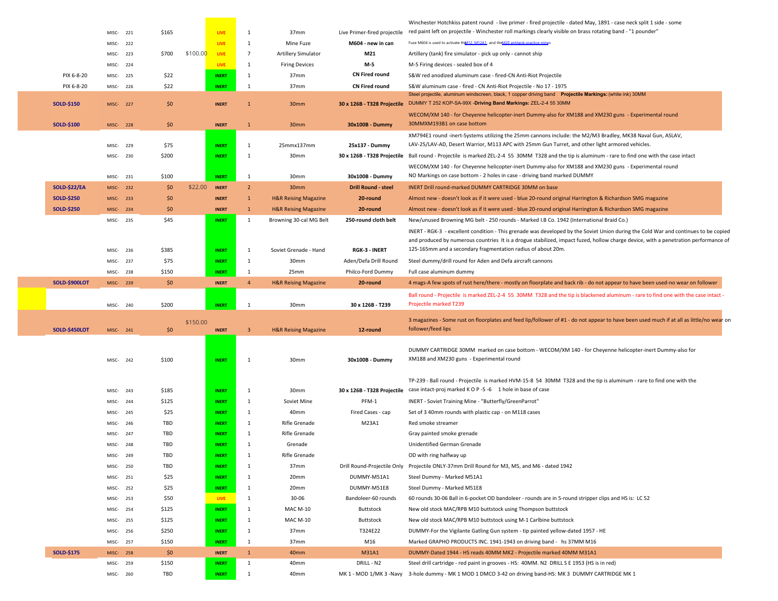|                      |                       |     |       |          |                              |                              |                                 |                                            | Winchester Hotchkiss patent round - live primer - fired projectile - dated May, 1891 - case neck split 1 side - some                                                                                |
|----------------------|-----------------------|-----|-------|----------|------------------------------|------------------------------|---------------------------------|--------------------------------------------|-----------------------------------------------------------------------------------------------------------------------------------------------------------------------------------------------------|
|                      | MISC-221              |     | \$165 |          | LIVE                         | 1                            | 37mm                            | Live Primer-fired projectile               | red paint left on projectile - Winchester roll markings clearly visible on brass rotating band - "1 pounder"                                                                                        |
|                      | MISC-222              |     |       |          | <b>LIVE</b>                  | $\mathbf{1}$                 | Mine Fuze                       | M604 - new in can                          | Fuze M604 is used to activate the 112. M12A1, and the M20 antitank practice mines                                                                                                                   |
|                      | MISC-223              |     | \$700 | \$100.00 | <b>LIVE</b>                  | $7\overline{ }$              | <b>Artillery Simulator</b>      | M21                                        | Artillery (tank) fire simulator - pick up only - cannot ship                                                                                                                                        |
|                      | MISC-224              |     |       |          | <b>LIVE</b>                  | 1                            | <b>Firing Devices</b>           | M-5                                        | M-5 Firing devices - sealed box of 4                                                                                                                                                                |
| PIX 6-8-20           | MISC-225              |     | \$22  |          | <b>INERT</b>                 | 1                            | 37mm                            | <b>CN Fired round</b>                      | S&W red anodized aluminum case - fired-CN Anti-Riot Projectile                                                                                                                                      |
| PIX 6-8-20           | MISC- 226             |     | \$22  |          | <b>INERT</b>                 | 1                            | 37mm                            | <b>CN Fired round</b>                      | S&W aluminum case - fired - CN Anti-Riot Projectile - No 17 - 1975<br>Steel projectile, aluminum windscreen, black, 1 copper driving band  Projectile Markings: (white ink) 30MM                    |
| <b>SOLD-\$150</b>    | MISC-227              |     | \$0   |          | <b>INERT</b>                 | $\mathbf{1}$                 | 30mm                            | 30 x 126B - T328 Projectile                | DUMMY T 252 KOP-SA-99X -Driving Band Markings: ZEL-2-4 55 30MM                                                                                                                                      |
|                      |                       |     |       |          |                              |                              |                                 |                                            | WECOM/XM 140 - for Cheyenne helicopter-inert Dummy-also for XM188 and XM230 guns - Experimental round                                                                                               |
| <b>SOLD-\$100</b>    | MISC-228              |     | \$0   |          | <b>INERT</b>                 | $\mathbf{1}$                 | 30mm                            | 30x100B - Dummy                            | 30MMXM193B1 on case bottom                                                                                                                                                                          |
|                      |                       |     |       |          |                              |                              |                                 |                                            | XM794E1 round -inert-Systems utilizing the 25mm cannons include: the M2/M3 Bradley, MK38 Naval Gun, ASLAV,                                                                                          |
|                      | MISC-229              |     | \$75  |          | <b>INERT</b>                 | 1                            | 25mmx137mm                      | 25x137 - Dummy                             | LAV-25/LAV-AD, Desert Warrior, M113 APC with 25mm Gun Turret, and other light armored vehicles.                                                                                                     |
|                      | MISC-230              |     | \$200 |          | <b>INERT</b>                 | 1                            | 30mm                            |                                            | 30 x 126B - T328 Projectile Ball round - Projectile is marked ZEL-2-4 55 30MM T328 and the tip is aluminum - rare to find one with the case intact                                                  |
|                      |                       |     |       |          |                              |                              |                                 |                                            | WECOM/XM 140 - for Cheyenne helicopter-inert Dummy-also for XM188 and XM230 guns - Experimental round                                                                                               |
|                      | MISC-231              |     | \$100 |          | <b>INERT</b>                 | $\mathbf{1}$                 | 30mm                            | 30x100B - Dummy                            | NO Markings on case bottom - 2 holes in case - driving band marked DUMMY                                                                                                                            |
| <b>SOLD-\$22/EA</b>  | MISC-232              |     | \$0   | \$22.00  | <b>INERT</b>                 | $2^{\circ}$                  | 30mm                            | <b>Drill Round - steel</b>                 | INERT Drill round-marked DUMMY CARTRIDGE 30MM on base                                                                                                                                               |
| <b>SOLD-\$250</b>    | MISC-233              |     | \$0   |          | <b>INERT</b>                 | $\mathbf{1}$                 | <b>H&amp;R Reising Magazine</b> | 20-round                                   | Almost new - doesn't look as if it were used - blue 20-round original Harrington & Richardson SMG magazine                                                                                          |
| <b>SOLD-\$250</b>    | MISC-234              |     | \$0   |          | <b>INERT</b>                 | $\mathbf{1}$                 | <b>H&amp;R Reising Magazine</b> | 20-round                                   | Almost new - doesn't look as if it were used - blue 20-round original Harrington & Richardson SMG magazine                                                                                          |
|                      | MISC-235              |     | \$45  |          | <b>INERT</b>                 | 1                            | Browning 30-cal MG Belt         | 250-round cloth belt                       | New/unused Browning MG belt - 250 rounds - Marked I.B Co. 1942 (International Braid Co.)                                                                                                            |
|                      |                       |     |       |          |                              |                              |                                 |                                            | INERT - RGK-3 - excellent condition - This grenade was developed by the Soviet Union during the Cold War and continues to be copied                                                                 |
|                      |                       |     | \$385 |          | <b>INERT</b>                 | $\mathbf{1}$                 | Soviet Grenade - Hand           | RGK-3 - INERT                              | and produced by numerous countries It is a drogue stabilized, impact fuzed, hollow charge device, with a penetration performance of<br>125-165mm and a secondary fragmentation radius of about 20m. |
|                      | MISC- 236             |     | \$75  |          |                              |                              | 30mm                            |                                            |                                                                                                                                                                                                     |
|                      | MISC-237<br>MISC- 238 |     | \$150 |          | <b>INERT</b><br><b>INERT</b> | $\mathbf{1}$<br>$\mathbf{1}$ | 25mm                            | Aden/Defa Drill Round<br>Philco-Ford Dummy | Steel dummy/drill round for Aden and Defa aircraft cannons<br>Full case aluminum dummy                                                                                                              |
| <b>SOLD-\$900LOT</b> | MISC- 239             |     | \$0   |          | <b>INERT</b>                 | $\overline{4}$               | <b>H&amp;R Reising Magazine</b> | 20-round                                   | 4 mags-A few spots of rust here/there - mostly on floorplate and back rib - do not appear to have been used-no wear on follower                                                                     |
|                      |                       |     |       |          |                              |                              |                                 |                                            |                                                                                                                                                                                                     |
|                      | MISC- 240             |     | \$200 |          | <b>INERT</b>                 | 1                            | 30mm                            | 30 x 126B - T239                           | Ball round - Projectile is marked ZEL-2-4 55 30MM T328 and the tip is blackened aluminum - rare to find one with the case intact -<br>Projectile marked T239                                        |
|                      |                       |     |       |          |                              |                              |                                 |                                            |                                                                                                                                                                                                     |
|                      |                       |     |       | \$150.00 |                              |                              |                                 |                                            | 3 magazines - Some rust on floorplates and feed lip/follower of #1 - do not appear to have been used much if at all as little/no wear on                                                            |
| <b>SOLD-\$450LOT</b> | MISC- 241             |     | \$0   |          | <b>INERT</b>                 | 3                            | <b>H&amp;R Reising Magazine</b> | 12-round                                   | follower/feed lips                                                                                                                                                                                  |
|                      |                       |     |       |          |                              |                              |                                 |                                            | DUMMY CARTRIDGE 30MM marked on case bottom - WECOM/XM 140 - for Cheyenne helicopter-inert Dummy-also for                                                                                            |
|                      | MISC-242              |     | \$100 |          | <b>INERT</b>                 | 1                            | 30mm                            | 30x100B - Dummy                            | XM188 and XM230 guns - Experimental round                                                                                                                                                           |
|                      |                       |     |       |          |                              |                              |                                 |                                            |                                                                                                                                                                                                     |
|                      |                       |     |       |          |                              |                              |                                 |                                            | TP-239 - Ball round - Projectile is marked HVM-15-8 54 30MM T328 and the tip is aluminum - rare to find one with the                                                                                |
|                      | MISC-                 | 243 | \$185 |          | <b>INERT</b>                 | 1                            | 30mm                            | 30 x 126B - T328 Projectile                | case intact-proj marked K O P -5 -6 1 hole in base of case                                                                                                                                          |
|                      | MISC- 244             |     | \$125 |          | <b>INERT</b>                 | 1                            | Soviet Mine                     | PFM-1                                      | INERT - Soviet Training Mine - "Butterfly/GreenParrot"                                                                                                                                              |
|                      | MISC- 245             |     | \$25  |          | <b>INERT</b>                 | 1                            | 40mm                            | Fired Cases - cap                          | Set of 3 40mm rounds with plastic cap - on M118 cases                                                                                                                                               |
|                      | MISC-246              |     | TBD   |          | <b>INERT</b>                 | $\mathbf{1}$                 | Rifle Grenade                   | M23A1                                      | Red smoke streamer                                                                                                                                                                                  |
|                      | MISC- 247             |     | TBD   |          | <b>INERT</b>                 | $\mathbf{1}$                 | Rifle Grenade                   |                                            | Gray painted smoke grenade                                                                                                                                                                          |
|                      | MISC-                 | 248 | TBD   |          | <b>INERT</b>                 | 1                            | Grenade                         |                                            | Unidentified German Grenade                                                                                                                                                                         |
|                      | MISC- 249             |     | TBD   |          | <b>INERT</b>                 | 1                            | Rifle Grenade                   |                                            | OD with ring halfway up                                                                                                                                                                             |
|                      | MISC-250              |     | TBD   |          | <b>INERT</b>                 | 1                            | 37mm                            |                                            | Drill Round-Projectile Only Projectile ONLY-37mm Drill Round for M3, M5, and M6 - dated 1942                                                                                                        |
|                      | MISC- 251             |     | \$25  |          | <b>INERT</b>                 | $\mathbf{1}$                 | 20mm                            | DUMMY-M51A1                                | Steel Dummy - Marked M51A1                                                                                                                                                                          |
|                      | MISC-252              |     | \$25  |          | <b>INERT</b>                 | $\mathbf{1}$                 | 20mm                            | DUMMY-M51E8                                | Steel Dummy - Marked M51E8                                                                                                                                                                          |
|                      | MISC-253              |     | \$50  |          | <b>LIVE</b>                  | 1                            | 30-06                           | Bandoleer-60 rounds                        | 60 rounds 30-06 Ball in 6-pocket OD bandoleer - rounds are in 5-round stripper clips and HS is: LC 52                                                                                               |
|                      | MISC- 254             |     | \$125 |          | <b>INERT</b>                 | $\mathbf{1}$                 | <b>MAC M-10</b>                 | Buttstock                                  | New old stock MAC/RPB M10 buttstock using Thompson buttstock                                                                                                                                        |
|                      | MISC-255              |     | \$125 |          | <b>INERT</b>                 | 1                            | <b>MAC M-10</b>                 | Buttstock                                  | New old stock MAC/RPB M10 buttstock using M-1 Carlbine buttstock                                                                                                                                    |
|                      | MISC- 256             |     | \$250 |          | <b>INERT</b>                 | $\mathbf{1}$                 | 37mm                            | T324E22                                    | DUMMY-For the Vigilante Gatling Gun system - tip painted yellow-dated 1957 - HE                                                                                                                     |
|                      | MISC-257              |     | \$150 |          | <b>INERT</b>                 | 1                            | 37mm                            | M16                                        | Marked GRAPHO PRODUCTS INC. 1941-1943 on driving band - hs 37MM M16                                                                                                                                 |
| <b>SOLD-\$175</b>    | MISC-258              |     | \$0   |          | <b>INERT</b>                 | $\mathbf{1}$                 | 40mm                            | M31A1                                      | DUMMY-Dated 1944 - HS reads 40MM MK2 - Projectile marked 40MM M31A1                                                                                                                                 |
|                      | MISC- 259             |     | \$150 |          | <b>INERT</b>                 | $\mathbf{1}$                 | 40mm                            | DRILL - N2                                 | Steel drill cartridge - red paint in grooves - HS: 40MM. N2 DRILL S E 1953 (HS is in red)                                                                                                           |
|                      | MISC- 260             |     | TBD   |          | <b>INERT</b>                 | 1                            | 40mm                            |                                            | MK 1 - MOD 1/MK 3 -Navy 3-hole dummy - MK 1 MOD 1 DMCO 3-42 on driving band-HS: MK 3 DUMMY CARTRIDGE MK 1                                                                                           |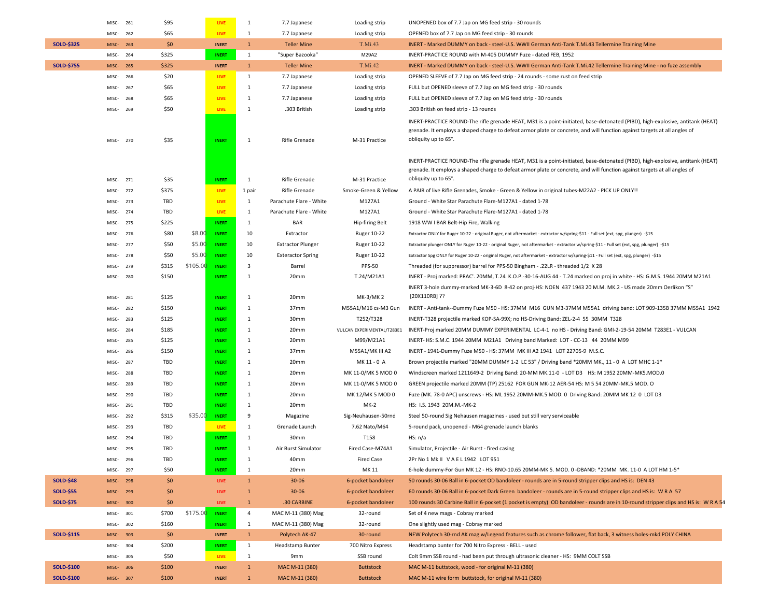|                   | MISC-                | 261 | \$95           |          | LIVE                         | 1                            | 7.7 Japanese             | Loading strip                        | UNOPENED box of 7.7 Jap on MG feed strip - 30 rounds                                                                                                                                                                                                                               |
|-------------------|----------------------|-----|----------------|----------|------------------------------|------------------------------|--------------------------|--------------------------------------|------------------------------------------------------------------------------------------------------------------------------------------------------------------------------------------------------------------------------------------------------------------------------------|
|                   | MISC-                | 262 | \$65           |          | LIVE                         | 1                            | 7.7 Japanese             | Loading strip                        | OPENED box of 7.7 Jap on MG feed strip - 30 rounds                                                                                                                                                                                                                                 |
| <b>SOLD-\$325</b> | MISC-                | 263 | \$0            |          | <b>INERT</b>                 | $\mathbf{1}$                 | <b>Teller Mine</b>       | T.Mi.43                              | INERT - Marked DUMMY on back - steel-U.S. WWII German Anti-Tank T.Mi.43 Tellermine Training Mine                                                                                                                                                                                   |
|                   | MISC-                | 264 | \$325          |          | <b>INERT</b>                 | $\mathbf{1}$                 | "Super Bazooka"          | M29A2                                | INERT-PRACTICE ROUND with M-405 DUMMY Fuze - dated FEB, 1952                                                                                                                                                                                                                       |
| <b>SOLD-\$755</b> | MISC-                | 265 | \$325          |          | <b>INERT</b>                 | $\mathbf{1}$                 | <b>Teller Mine</b>       | T.Mi.42                              | INERT - Marked DUMMY on back - steel-U.S. WWII German Anti-Tank T.Mi.42 Tellermine Training Mine - no fuze assembly                                                                                                                                                                |
|                   | MISC-                | 266 | \$20           |          | <b>LIVE</b>                  | $\mathbf{1}$                 | 7.7 Japanese             | Loading strip                        | OPENED SLEEVE of 7.7 Jap on MG feed strip - 24 rounds - some rust on feed strip                                                                                                                                                                                                    |
|                   | MISC-                | 267 | \$65           |          | LIVE                         | 1                            | 7.7 Japanese             | Loading strip                        | FULL but OPENED sleeve of 7.7 Jap on MG feed strip - 30 rounds                                                                                                                                                                                                                     |
|                   | MISC-                | 268 | \$65           |          | LIVE                         | 1                            | 7.7 Japanese             | Loading strip                        | FULL but OPENED sleeve of 7.7 Jap on MG feed strip - 30 rounds                                                                                                                                                                                                                     |
|                   | MISC-                | 269 | \$50           |          | LIVE                         | 1                            | .303 British             | Loading strip                        | .303 British on feed strip - 13 rounds                                                                                                                                                                                                                                             |
|                   | MISC-                | 270 | \$35           |          | <b>INERT</b>                 | 1                            | Rifle Grenade            | M-31 Practice                        | INERT-PRACTICE ROUND-The rifle grenade HEAT, M31 is a point-initiated, base-detonated (PIBD), high-explosive, antitank (HEAT)<br>grenade. It employs a shaped charge to defeat armor plate or concrete, and will function against targets at all angles of<br>obliquity up to 65°. |
|                   | MISC-                | 271 | \$35           |          | <b>INERT</b>                 | $\mathbf{1}$                 | Rifle Grenade            | M-31 Practice                        | INERT-PRACTICE ROUND-The rifle grenade HEAT, M31 is a point-initiated, base-detonated (PIBD), high-explosive, antitank (HEAT)<br>grenade. It employs a shaped charge to defeat armor plate or concrete, and will function against targets at all angles of<br>obliquity up to 65°. |
|                   | MISC-                | 272 | \$375          |          | LIVE                         | 1 pair                       | Rifle Grenade            | Smoke-Green & Yellow                 | A PAIR of live Rifle Grenades, Smoke - Green & Yellow in original tubes-M22A2 - PICK UP ONLY!!                                                                                                                                                                                     |
|                   | MISC-                | 273 | TBD            |          | LIVE                         | 1                            | Parachute Flare - White  | M127A1                               | Ground - White Star Parachute Flare-M127A1 - dated 1-78                                                                                                                                                                                                                            |
|                   | MISC-                | 274 | TBD            |          | LIVE                         | $\mathbf{1}$                 | Parachute Flare - White  | M127A1                               | Ground - White Star Parachute Flare-M127A1 - dated 1-78                                                                                                                                                                                                                            |
|                   | MISC-                | 275 | \$225          |          | <b>INERT</b>                 | 1                            | <b>BAR</b>               | Hip-firing Belt                      | 1918 WW I BAR Belt-Hip Fire, Walking                                                                                                                                                                                                                                               |
|                   | MISC-                | 276 | \$80           | \$8.00   | <b>INERT</b>                 | 10                           | Extractor                | Ruger 10-22                          | Extractor ONLY for Ruger 10-22 - original Ruger, not aftermarket - extractor w/spring-\$11 - Full set (ext, spg, plunger) -\$15                                                                                                                                                    |
|                   | MISC-                | 277 | \$50           | \$5.00   | <b>INERT</b>                 | 10                           | <b>Extractor Plunger</b> | Ruger 10-22                          | Extractor plunger ONLY for Ruger 10-22 - original Ruger, not aftermarket - extractor w/spring-\$11 - Full set (ext, spg, plunger) -\$15                                                                                                                                            |
|                   | MISC-                | 278 | \$50           | \$5.00   | <b>INERT</b>                 | 10                           | <b>Exteractor Spring</b> | Ruger 10-22                          | Extractor Spg ONLY for Ruger 10-22 - original Ruger, not aftermarket - extractor w/spring-\$11 - Full set (ext, spg, plunger) -\$15                                                                                                                                                |
|                   | MISC-                | 279 | \$315          | \$105.00 | <b>INERT</b>                 | $\overline{\mathbf{3}}$      | Barrel                   | <b>PPS-50</b>                        | Threaded (for suppressor) barrel for PPS-50 Bingham - .22LR - threaded 1/2 X 28                                                                                                                                                                                                    |
|                   | MISC-                | 280 | \$150          |          | <b>INERT</b>                 | 1                            | 20mm                     | T.24/M21A1                           | INERT - Proj marked: PRAC'. 20MM, T.24 K.O.P.-30-16-AUG 44 - T.24 marked on proj in white - HS: G.M.S. 1944 20MM M21A1                                                                                                                                                             |
|                   | MISC-                | 281 | \$125          |          | <b>INERT</b>                 | 1                            | 20mm                     | MK-3/MK 2                            | INERT 3-hole dummy-marked MK-3-6D 8-42 on proj-HS: NOEN 437 1943 20 M.M. MK.2 - US made 20mm Oerlikon "S"<br>[20X110RB] ??                                                                                                                                                         |
|                   | MISC-                | 282 | \$150          |          | <b>INERT</b>                 | 1                            | 37mm                     | M55A1/M16 cs-M3 Gun                  | INERT - Anti-tank--Dummy Fuze M50 - HS: 37MM M16 GUN M3-37MM M55A1 driving band: LOT 909-135B 37MM M55A1 1942                                                                                                                                                                      |
|                   | MISC-                | 283 | \$125          |          | <b>INERT</b>                 | 1                            | 30mm                     | T252/T328                            | INERT-T328 projectile marked KOP-SA-99X; no HS-Driving Band: ZEL-2-4 55 30MM T328                                                                                                                                                                                                  |
|                   | MISC-                | 284 | \$185          |          | <b>INERT</b>                 | 1                            | 20mm                     | VULCAN EXPERIMENTAL/T283E1           | INERT-Proj marked 20MM DUMMY EXPERIMENTAL LC-4-1 no HS - Driving Band: GMI-2-19-54 20MM T283E1 - VULCAN                                                                                                                                                                            |
|                   | MISC-                | 285 | \$125          |          | <b>INERT</b>                 | 1                            | 20mm                     | M99/M21A1                            | INERT- HS: S.M.C. 1944 20MM M21A1 Driving band Marked: LOT - CC-13 44 20MM M99                                                                                                                                                                                                     |
|                   | MISC-                | 286 | \$150          |          | <b>INERT</b>                 | 1                            | 37mm                     | M55A1/MK III A2                      | INERT - 1941-Dummy Fuze M50 - HS: 37MM MK III A2 1941 LOT 22705-9 M.S.C.                                                                                                                                                                                                           |
|                   | MISC-                | 287 | TBD            |          | <b>INERT</b>                 | 1                            | 20mm                     | MK 11 - 0 A                          | Brown projectile marked "20MM DUMMY 1-2 LC 53" / Driving band *20MM MK., 11 - 0 A LOT MHC 1-1*                                                                                                                                                                                     |
|                   | MISC-                | 288 | TBD            |          | <b>INERT</b>                 | 1                            | 20mm                     | MK 11-0/MK 5 MOD 0                   | Windscreen marked 1211649-2 Driving Band: 20-MM MK.11-0 - LOT D3 HS: M 1952 20MM-MK5.MOD.0                                                                                                                                                                                         |
|                   | MISC-                | 289 | TBD            |          | <b>INERT</b>                 | 1                            | 20mm                     | MK 11-0/MK 5 MOD 0                   | GREEN projectile marked 20MM (TP) 25162 FOR GUN MK-12 AER-54 HS: M 5 54 20MM-MK.5 MOD. O                                                                                                                                                                                           |
|                   | MISC-                | 290 | TBD            |          | <b>INERT</b>                 | 1                            | 20mm                     | MK 12/MK 5 MOD 0                     | Fuze (MK. 78-0 APC) unscrews - HS: ML 1952 20MM-MK.5 MOD. 0 Driving Band: 20MM MK 12 0 LOT D3                                                                                                                                                                                      |
|                   | MISC-                | 291 | TBD            |          | <b>INERT</b>                 | 1                            | 20mm                     | $MK-2$                               | HS: I.S. 1943 20M.M.-MK-2                                                                                                                                                                                                                                                          |
|                   | MISC-                | 292 | \$315          | \$35.00  | <b>INERT</b>                 | 9                            | Magazine                 | Sig-Neuhausen-50rnd                  | Steel 50-round Sig Nehausen magazines - used but still very serviceable                                                                                                                                                                                                            |
|                   | MISC-                | 293 | TBD            |          | <b>LIVE</b>                  | 1                            | Grenade Launch           | 7.62 Nato/M64                        | 5-round pack, unopened - M64 grenade launch blanks                                                                                                                                                                                                                                 |
|                   | MISC-                | 294 | TBD            |          | <b>INERT</b>                 | 1                            | 30mm                     | T158                                 | HS: n/a                                                                                                                                                                                                                                                                            |
|                   | MISC-                | 295 | TBD            |          | <b>INERT</b>                 | 1                            | Air Burst Simulator      | Fired Case-M74A1                     | Simulator, Projectile - Air Burst - fired casing                                                                                                                                                                                                                                   |
|                   | MISC-                | 296 | TBD            |          | <u>NERT</u>                  | -1                           | 40 <sub>mm</sub>         | <b>Fired Case</b>                    | 2Pr No 1 Mk II V A E L 1942 LOT 951                                                                                                                                                                                                                                                |
|                   | MISC-297             |     | \$50           |          | <b>INERT</b>                 | $\mathbf{1}$                 | 20mm                     | MK 11                                | 6-hole dummy-For Gun MK 12 - HS: RNO-10.65 20MM-MK 5. MOD. 0 -DBAND: *20MM MK. 11-0 A LOT HM 1-5*                                                                                                                                                                                  |
| <b>SOLD-\$48</b>  | MISC-                | 298 | \$0            |          | <b>LIVE</b>                  | $\mathbf 1$                  | $30 - 06$                | 6-pocket bandoleer                   | 50 rounds 30-06 Ball in 6-pocket OD bandoleer - rounds are in 5-round stripper clips and HS is: DEN 43                                                                                                                                                                             |
| <b>SOLD-\$55</b>  | MISC-299             |     | \$0            |          | LIVE                         | $\mathbf{1}$                 | $30 - 06$                | 6-pocket bandoleer                   | 60 rounds 30-06 Ball in 6-pocket Dark Green bandoleer - rounds are in 5-round stripper clips and HS is: WRA 57                                                                                                                                                                     |
| <b>SOLD-\$75</b>  | MISC-300             |     | \$0            |          | LIVE                         | $\mathbf{1}$                 | .30 CARBINE              | 6-pocket bandoleer                   | 100 rounds 30 Carbine Ball in 6-pocket (1 pocket is empty) OD bandoleer - rounds are in 10-round stripper clips and HS is: WRA 54                                                                                                                                                  |
|                   | MISC-301             |     | \$700          | \$175.00 | <b>INERT</b>                 | 4                            | MAC M-11 (380) Mag       | 32-round                             | Set of 4 new mags - Cobray marked                                                                                                                                                                                                                                                  |
|                   | MISC-                | 302 | \$160          |          | <b>INERT</b>                 | $\mathbf{1}$                 | MAC M-11 (380) Mag       | 32-round                             | One slightly used mag - Cobray marked                                                                                                                                                                                                                                              |
| <b>SOLD-\$115</b> | MISC-303             |     | \$0            |          | <b>INERT</b>                 | $\mathbf 1$                  | Polytech AK-47           | 30-round                             | NEW Polytech 30-rnd AK mag w/Legend features such as chrome follower, flat back, 3 witness holes-mkd POLY CHINA                                                                                                                                                                    |
|                   | MISC-                | 304 | \$200<br>\$50  |          | <b>INERT</b>                 | $\mathbf{1}$                 | Headstamp Bunter         | 700 Nitro Express<br>SSB round       | Headstamp bunter for 700 Nitro Express - BELL - used<br>Colt 9mm SSB round - had been put through ultrasonic cleaner - HS: 9MM COLT SSB                                                                                                                                            |
| <b>SOLD-\$100</b> | MISC- 305            |     |                |          | <b>LIVE</b>                  | $\mathbf{1}$                 | 9mm<br>MAC M-11 (380)    |                                      | MAC M-11 buttstock, wood - for original M-11 (380)                                                                                                                                                                                                                                 |
| <b>SOLD-\$100</b> | MISC-306<br>MISC-307 |     | \$100<br>\$100 |          | <b>INERT</b><br><b>INERT</b> | $\mathbf{1}$<br>$\mathbf{1}$ | MAC M-11 (380)           | <b>Buttstock</b><br><b>Buttstock</b> | MAC M-11 wire form buttstock, for original M-11 (380)                                                                                                                                                                                                                              |
|                   |                      |     |                |          |                              |                              |                          |                                      |                                                                                                                                                                                                                                                                                    |